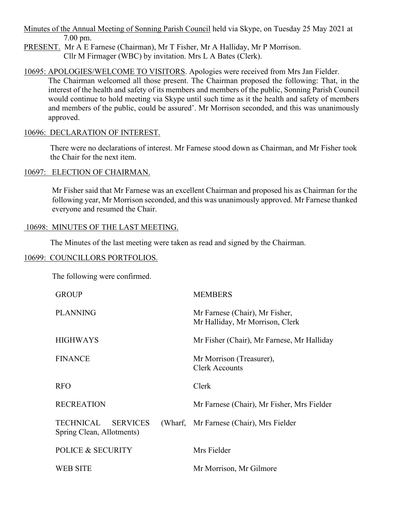Minutes of the Annual Meeting of Sonning Parish Council held via Skype, on Tuesday 25 May 2021 at 7.00 pm.

PRESENT. Mr A E Farnese (Chairman), Mr T Fisher, Mr A Halliday, Mr P Morrison. Cllr M Firmager (WBC) by invitation. Mrs L A Bates (Clerk).

### 10695: APOLOGIES/WELCOME TO VISITORS. Apologies were received from Mrs Jan Fielder.

The Chairman welcomed all those present. The Chairman proposed the following: That, in the interest of the health and safety of its members and members of the public, Sonning Parish Council would continue to hold meeting via Skype until such time as it the health and safety of members and members of the public, could be assured'. Mr Morrison seconded, and this was unanimously approved.

### 10696: DECLARATION OF INTEREST.

There were no declarations of interest. Mr Farnese stood down as Chairman, and Mr Fisher took the Chair for the next item.

## 10697: ELECTION OF CHAIRMAN.

Mr Fisher said that Mr Farnese was an excellent Chairman and proposed his as Chairman for the following year, Mr Morrison seconded, and this was unanimously approved. Mr Farnese thanked everyone and resumed the Chair.

## 10698: MINUTES OF THE LAST MEETING.

The Minutes of the last meeting were taken as read and signed by the Chairman.

### 10699: COUNCILLORS PORTFOLIOS.

The following were confirmed.

| <b>GROUP</b>                                              | <b>MEMBERS</b>                                                    |
|-----------------------------------------------------------|-------------------------------------------------------------------|
| <b>PLANNING</b>                                           | Mr Farnese (Chair), Mr Fisher,<br>Mr Halliday, Mr Morrison, Clerk |
| <b>HIGHWAYS</b>                                           | Mr Fisher (Chair), Mr Farnese, Mr Halliday                        |
| <b>FINANCE</b>                                            | Mr Morrison (Treasurer),<br><b>Clerk Accounts</b>                 |
| <b>RFO</b>                                                | Clerk                                                             |
| <b>RECREATION</b>                                         | Mr Farnese (Chair), Mr Fisher, Mrs Fielder                        |
| TECHNICAL<br><b>SERVICES</b><br>Spring Clean, Allotments) | (Wharf, Mr Farnese (Chair), Mrs Fielder                           |
| <b>POLICE &amp; SECURITY</b>                              | Mrs Fielder                                                       |
| WEB SITE                                                  | Mr Morrison, Mr Gilmore                                           |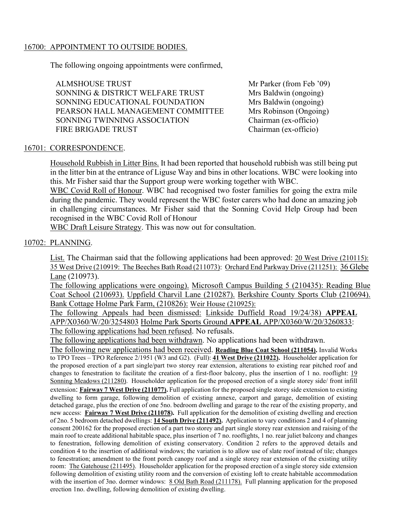### 16700: APPOINTMENT TO OUTSIDE BODIES.

The following ongoing appointments were confirmed,

ALMSHOUSE TRUST SONNING & DISTRICT WELFARE TRUST SONNING EDUCATIONAL FOUNDATION PEARSON HALL MANAGEMENT COMMITTEE SONNING TWINNING ASSOCIATION FIRE BRIGADE TRUST

Mr Parker (from Feb '09) Mrs Baldwin (ongoing) Mrs Baldwin (ongoing) Mrs Robinson (Ongoing) Chairman (ex-officio) Chairman (ex-officio)

## 16701: CORRESPONDENCE.

Household Rubbish in Litter Bins. It had been reported that household rubbish was still being put in the litter bin at the entrance of Liguse Way and bins in other locations. WBC were looking into this. Mr Fisher said thar the Support group were working together with WBC.

WBC Covid Roll of Honour. WBC had recognised two foster families for going the extra mile during the pandemic. They would represent the WBC foster carers who had done an amazing job in challenging circumstances. Mr Fisher said that the Sonning Covid Help Group had been recognised in the WBC Covid Roll of Honour

WBC Draft Leisure Strategy. This was now out for consultation.

## 10702: PLANNING.

List. The Chairman said that the following applications had been approved: 20 West Drive (210115): 35 West Drive (210919: The Beeches Bath Road (211073): Orchard End Parkway Drive (211251): 36 Glebe Lane (210973).

The following applications were ongoing). Microsoft Campus Building 5 (210435): Reading Blue Coat School (210693). Uppfield Charvil Lane (210287). Berkshire County Sports Club (210694). Bank Cottage Holme Park Farm, (210826): Weir House (210925):

The following Appeals had been dismissed: Linkside Duffield Road 19/24/38) **APPEAL** APP/X0360/W/20/3254803 Holme Park Sports Ground **APPEAL** APP/X0360/W/20/3260833: The following applications had been refused. No refusals.

The following applications had been withdrawn. No applications had been withdrawn.

The following new applications had been received. **Reading Blue Coat School (211054).** Invalid Works to TPO Trees – TPO Reference 2/1951 (W3 and G2). (Full): **41 West Drive (211022).** Householder application for the proposed erection of a part single/part two storey rear extension, alterations to existing rear pitched roof and changes to fenestration to facilitate the creation of a first-floor balcony, plus the insertion of 1 no. rooflight: 19 Sonning Meadows (211280). Householder application for the proposed erection of a single storey side/ front infill

extension: **Fairway 7 West Drive (211077).** Full application for the proposed single storey side extension to existing dwelling to form garage, following demolition of existing annexe, carport and garage, demolition of existing detached garage, plus the erection of one 5no. bedroom dwelling and garage to the rear of the existing property, and new access: **Fairway 7 West Drive (211078).** Full application for the demolition of existing dwelling and erection of 2no. 5 bedroom detached dwellings: **14 South Drive (211492).** Application to vary conditions 2 and 4 of planning consent 200162 for the proposed erection of a part two storey and part single storey rear extension and raising of the main roof to create additional habitable space, plus insertion of 7 no. rooflights, 1 no. rear juliet balcony and changes to fenestration, following demolition of existing conservatory. Condition 2 refers to the approved details and condition 4 to the insertion of additional windows; the variation is to allow use of slate roof instead of tile; changes to fenestration; amendment to the front porch canopy roof and a single storey rear extension of the existing utility room: The Gatehouse (211495). Householder application for the proposed erection of a single storey side extension following demolition of existing utility room and the conversion of existing loft to create habitable accommodation with the insertion of 3no. dormer windows: 8 Old Bath Road (211178). Full planning application for the proposed erection 1no. dwelling, following demolition of existing dwelling.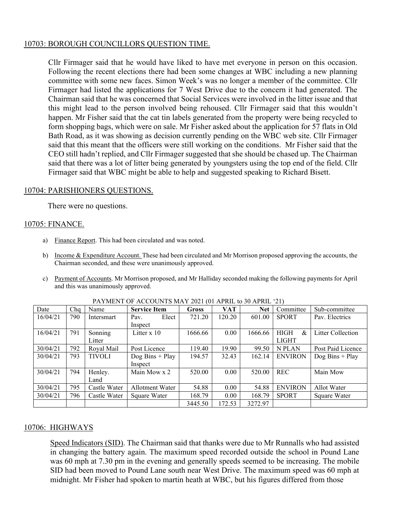### 10703: BOROUGH COUNCILLORS QUESTION TIME.

Cllr Firmager said that he would have liked to have met everyone in person on this occasion. Following the recent elections there had been some changes at WBC including a new planning committee with some new faces. Simon Week's was no longer a member of the committee. Cllr Firmager had listed the applications for 7 West Drive due to the concern it had generated. The Chairman said that he was concerned that Social Services were involved in the litter issue and that this might lead to the person involved being rehoused. Cllr Firmager said that this wouldn't happen. Mr Fisher said that the cat tin labels generated from the property were being recycled to form shopping bags, which were on sale. Mr Fisher asked about the application for 57 flats in Old Bath Road, as it was showing as decision currently pending on the WBC web site. Cllr Firmager said that this meant that the officers were still working on the conditions. Mr Fisher said that the CEO still hadn't replied, and Cllr Firmager suggested that she should be chased up. The Chairman said that there was a lot of litter being generated by youngsters using the top end of the field. Cllr Firmager said that WBC might be able to help and suggested speaking to Richard Bisett.

#### 10704: PARISHIONERS QUESTIONS.

There were no questions.

### 10705: FINANCE.

- a) Finance Report. This had been circulated and was noted.
- b) Income & Expenditure Account. These had been circulated and Mr Morrison proposed approving the accounts, the Chairman seconded, and these were unanimously approved.
- c) Payment of Accounts. Mr Morrison proposed, and Mr Halliday seconded making the following payments for April and this was unanimously approved.

| Date     | Cha | Name         | <b>Service Item</b> | <b>Gross</b> | <b>VAT</b> | <b>Net</b> | Committee        | Sub-committee                    |
|----------|-----|--------------|---------------------|--------------|------------|------------|------------------|----------------------------------|
| 16/04/21 | 790 | Intersmart   | Elect<br>Pav.       | 721.20       | 120.20     | 601.00     | <b>SPORT</b>     | Pav. Electrics                   |
|          |     |              | Inspect             |              |            |            |                  |                                  |
| 16/04/21 | 791 | Sonning      | Litter x 10         | 1666.66      | 0.00       | 1666.66    | <b>HIGH</b><br>& | Litter Collection                |
|          |     | Litter       |                     |              |            |            | <b>LIGHT</b>     |                                  |
| 30/04/21 | 792 | Royal Mail   | Post Licence        | 119.40       | 19.90      | 99.50      | N PLAN           | Post Paid Licence                |
| 30/04/21 | 793 | TIVOLI       | $\log$ Bins + Play  | 194.57       | 32.43      | 162.14     | <b>ENVIRON</b>   | $\log \text{Bins} + \text{Play}$ |
|          |     |              | Inspect             |              |            |            |                  |                                  |
| 30/04/21 | 794 | Henley.      | Main Mow x 2        | 520.00       | 0.00       | 520.00     | <b>REC</b>       | Main Mow                         |
|          |     | Land         |                     |              |            |            |                  |                                  |
| 30/04/21 | 795 | Castle Water | Allotment Water     | 54.88        | 0.00       | 54.88      | <b>ENVIRON</b>   | Allot Water                      |
| 30/04/21 | 796 | Castle Water | Square Water        | 168.79       | 0.00       | 168.79     | <b>SPORT</b>     | Square Water                     |
|          |     |              |                     | 3445.50      | 172.53     | 3272.97    |                  |                                  |

| PAYMENT OF ACCOUNTS MAY 2021 (01 APRIL to 30 APRIL '21) |  |
|---------------------------------------------------------|--|
|                                                         |  |

### 10706: HIGHWAYS

Speed Indicators (SID). The Chairman said that thanks were due to Mr Runnalls who had assisted in changing the battery again. The maximum speed recorded outside the school in Pound Lane was 60 mph at 7.30 pm in the evening and generally speeds seemed to be increasing. The mobile SID had been moved to Pound Lane south near West Drive. The maximum speed was 60 mph at midnight. Mr Fisher had spoken to martin heath at WBC, but his figures differed from those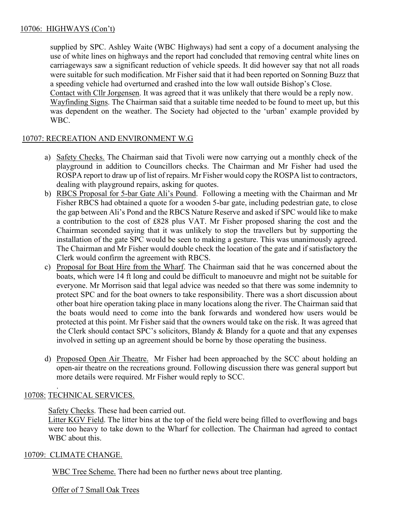## 10706: HIGHWAYS (Con't)

supplied by SPC. Ashley Waite (WBC Highways) had sent a copy of a document analysing the use of white lines on highways and the report had concluded that removing central white lines on carriageways saw a significant reduction of vehicle speeds. It did however say that not all roads were suitable for such modification. Mr Fisher said that it had been reported on Sonning Buzz that a speeding vehicle had overturned and crashed into the low wall outside Bishop's Close.

Contact with Cllr Jorgensen. It was agreed that it was unlikely that there would be a reply now. Wayfinding Signs. The Chairman said that a suitable time needed to be found to meet up, but this was dependent on the weather. The Society had objected to the 'urban' example provided by WBC.

## 10707: RECREATION AND ENVIRONMENT W.G

- a) Safety Checks. The Chairman said that Tivoli were now carrying out a monthly check of the playground in addition to Councillors checks. The Chairman and Mr Fisher had used the ROSPA report to draw up of list of repairs. Mr Fisher would copy the ROSPA list to contractors, dealing with playground repairs, asking for quotes.
- b) RBCS Proposal for 5-bar Gate Ali's Pound. Following a meeting with the Chairman and Mr Fisher RBCS had obtained a quote for a wooden 5-bar gate, including pedestrian gate, to close the gap between Ali's Pond and the RBCS Nature Reserve and asked if SPC would like to make a contribution to the cost of £828 plus VAT. Mr Fisher proposed sharing the cost and the Chairman seconded saying that it was unlikely to stop the travellers but by supporting the installation of the gate SPC would be seen to making a gesture. This was unanimously agreed. The Chairman and Mr Fisher would double check the location of the gate and if satisfactory the Clerk would confirm the agreement with RBCS.
- c) Proposal for Boat Hire from the Wharf. The Chairman said that he was concerned about the boats, which were 14 ft long and could be difficult to manoeuvre and might not be suitable for everyone. Mr Morrison said that legal advice was needed so that there was some indemnity to protect SPC and for the boat owners to take responsibility. There was a short discussion about other boat hire operation taking place in many locations along the river. The Chairman said that the boats would need to come into the bank forwards and wondered how users would be protected at this point. Mr Fisher said that the owners would take on the risk. It was agreed that the Clerk should contact SPC's solicitors, Blandy & Blandy for a quote and that any expenses involved in setting up an agreement should be borne by those operating the business.
- d) Proposed Open Air Theatre. Mr Fisher had been approached by the SCC about holding an open-air theatre on the recreations ground. Following discussion there was general support but more details were required. Mr Fisher would reply to SCC.

# 10708: TECHNICAL SERVICES.

.

Safety Checks. These had been carried out.

Litter KGV Field. The litter bins at the top of the field were being filled to overflowing and bags were too heavy to take down to the Wharf for collection. The Chairman had agreed to contact WBC about this.

### 10709: CLIMATE CHANGE.

WBC Tree Scheme. There had been no further news about tree planting.

Offer of 7 Small Oak Trees